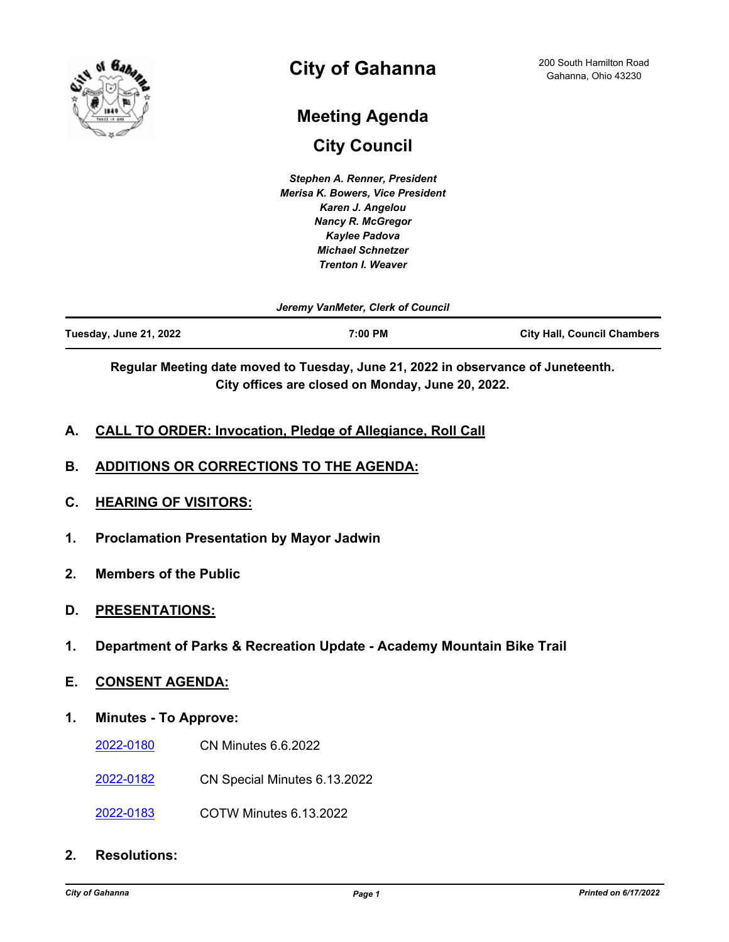

# **City of Gahanna**

# **Meeting Agenda**

**City Council**

*Stephen A. Renner, President Merisa K. Bowers, Vice President Karen J. Angelou Nancy R. McGregor Kaylee Padova Michael Schnetzer Trenton I. Weaver*

*Jeremy VanMeter, Clerk of Council*

| Tuesday, June 21, 2022 | 7:00 PM | <b>City Hall, Council Chambers</b> |
|------------------------|---------|------------------------------------|
|                        |         |                                    |

**Regular Meeting date moved to Tuesday, June 21, 2022 in observance of Juneteenth. City offices are closed on Monday, June 20, 2022.**

- **A. CALL TO ORDER: Invocation, Pledge of Allegiance, Roll Call**
- **B. ADDITIONS OR CORRECTIONS TO THE AGENDA:**
- **C. HEARING OF VISITORS:**
- **1. Proclamation Presentation by Mayor Jadwin**
- **2. Members of the Public**
- **D. PRESENTATIONS:**
- **1. Department of Parks & Recreation Update Academy Mountain Bike Trail**
- **E. CONSENT AGENDA:**
- **1. Minutes To Approve:**
	- [2022-0180](http://gahanna.legistar.com/gateway.aspx?m=l&id=/matter.aspx?key=17027) CN Minutes 6.6.2022
	- [2022-0182](http://gahanna.legistar.com/gateway.aspx?m=l&id=/matter.aspx?key=17028) CN Special Minutes 6.13.2022
	- [2022-0183](http://gahanna.legistar.com/gateway.aspx?m=l&id=/matter.aspx?key=17029) COTW Minutes 6.13.2022
- **2. Resolutions:**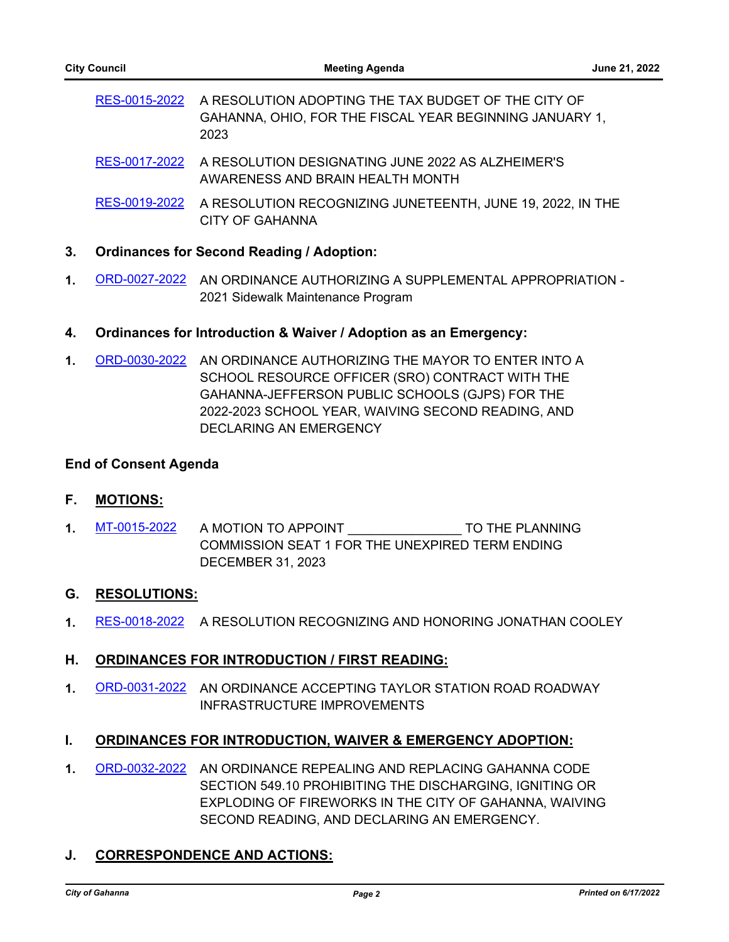[RES-0015-2022](http://gahanna.legistar.com/gateway.aspx?m=l&id=/matter.aspx?key=17009) A RESOLUTION ADOPTING THE TAX BUDGET OF THE CITY OF GAHANNA, OHIO, FOR THE FISCAL YEAR BEGINNING JANUARY 1, 2023

- [RES-0017-2022](http://gahanna.legistar.com/gateway.aspx?m=l&id=/matter.aspx?key=17014) A RESOLUTION DESIGNATING JUNE 2022 AS ALZHEIMER'S AWARENESS AND BRAIN HEALTH MONTH
- [RES-0019-2022](http://gahanna.legistar.com/gateway.aspx?m=l&id=/matter.aspx?key=17016) A RESOLUTION RECOGNIZING JUNETEENTH, JUNE 19, 2022, IN THE CITY OF GAHANNA

## **3. Ordinances for Second Reading / Adoption:**

**1.** [ORD-0027-2022](http://gahanna.legistar.com/gateway.aspx?m=l&id=/matter.aspx?key=16992) AN ORDINANCE AUTHORIZING A SUPPLEMENTAL APPROPRIATION - 2021 Sidewalk Maintenance Program

## **4. Ordinances for Introduction & Waiver / Adoption as an Emergency:**

**1.** [ORD-0030-2022](http://gahanna.legistar.com/gateway.aspx?m=l&id=/matter.aspx?key=17010) AN ORDINANCE AUTHORIZING THE MAYOR TO ENTER INTO A SCHOOL RESOURCE OFFICER (SRO) CONTRACT WITH THE GAHANNA-JEFFERSON PUBLIC SCHOOLS (GJPS) FOR THE 2022-2023 SCHOOL YEAR, WAIVING SECOND READING, AND DECLARING AN EMERGENCY

#### **End of Consent Agenda**

- **F. MOTIONS:**
- 1. [MT-0015-2022](http://gahanna.legistar.com/gateway.aspx?m=l&id=/matter.aspx?key=17026) A MOTION TO APPOINT TO THE PLANNING COMMISSION SEAT 1 FOR THE UNEXPIRED TERM ENDING DECEMBER 31, 2023

## **G. RESOLUTIONS:**

**1.** [RES-0018-2022](http://gahanna.legistar.com/gateway.aspx?m=l&id=/matter.aspx?key=17015) A RESOLUTION RECOGNIZING AND HONORING JONATHAN COOLEY

## **H. ORDINANCES FOR INTRODUCTION / FIRST READING:**

**1.** [ORD-0031-2022](http://gahanna.legistar.com/gateway.aspx?m=l&id=/matter.aspx?key=17011) AN ORDINANCE ACCEPTING TAYLOR STATION ROAD ROADWAY INFRASTRUCTURE IMPROVEMENTS

## **I. ORDINANCES FOR INTRODUCTION, WAIVER & EMERGENCY ADOPTION:**

**1.** [ORD-0032-2022](http://gahanna.legistar.com/gateway.aspx?m=l&id=/matter.aspx?key=17013) AN ORDINANCE REPEALING AND REPLACING GAHANNA CODE SECTION 549.10 PROHIBITING THE DISCHARGING, IGNITING OR EXPLODING OF FIREWORKS IN THE CITY OF GAHANNA, WAIVING SECOND READING, AND DECLARING AN EMERGENCY.

## **J. CORRESPONDENCE AND ACTIONS:**